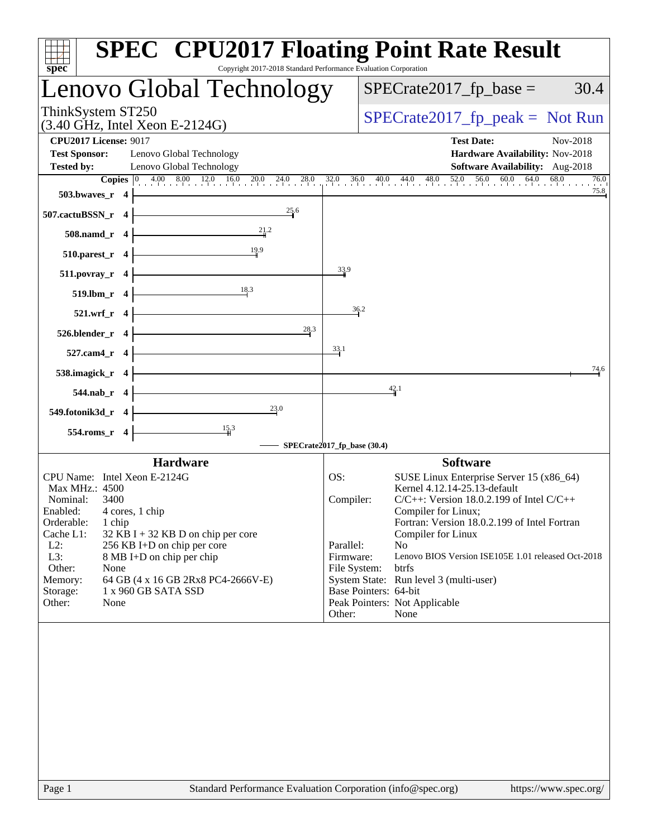| spec <sup>®</sup>                                                                | <b>SPEC<sup>®</sup> CPU2017 Floating Point Rate Result</b><br>Copyright 2017-2018 Standard Performance Evaluation Corporation                                                  |
|----------------------------------------------------------------------------------|--------------------------------------------------------------------------------------------------------------------------------------------------------------------------------|
| Lenovo Global Technology                                                         | $SPECrate2017_fp\_base =$<br>30.4                                                                                                                                              |
| ThinkSystem ST250<br>$(3.40 \text{ GHz}, \text{Intel Xeon E-2124G})$             | $SPECrate2017_fp\_peak = Not Run$                                                                                                                                              |
| <b>CPU2017 License: 9017</b><br><b>Test Sponsor:</b><br>Lenovo Global Technology | <b>Test Date:</b><br>Nov-2018<br>Hardware Availability: Nov-2018                                                                                                               |
| <b>Tested by:</b><br>Lenovo Global Technology                                    | Software Availability: Aug-2018                                                                                                                                                |
|                                                                                  | <b>Copies</b> $\begin{bmatrix} 0 & 4.00 & 8.00 & 12.0 & 16.0 & 20.0 & 24.0 & 28.0 & 32.0 & 36.0 & 40.0 & 44.0 & 48.0 & 52.0 & 56.0 & 60.0 & 64.0 & 68.0 \end{bmatrix}$<br>76.0 |
| 503.bwaves_r 4                                                                   | 75.8                                                                                                                                                                           |
| 25.6<br>507.cactuBSSN_r 4<br>21.2                                                |                                                                                                                                                                                |
| 508.namd_r 4<br>19.9<br>$510.parest_r$ 4                                         |                                                                                                                                                                                |
| $511. povray_r 4$                                                                | 33.9                                                                                                                                                                           |
| 18.3<br>519.lbm_r 4                                                              |                                                                                                                                                                                |
| 521.wrf_r 4                                                                      | 36.2                                                                                                                                                                           |
| 28.3<br>526.blender_r 4                                                          |                                                                                                                                                                                |
| 527.cam4_r 4                                                                     | 33.1                                                                                                                                                                           |
| 538.imagick_r 4                                                                  | 74.6<br>42.1                                                                                                                                                                   |
| 544.nab_r 4<br>23.0<br>549.fotonik3d_r 4                                         |                                                                                                                                                                                |
|                                                                                  |                                                                                                                                                                                |
| $\frac{15}{4}$ <sup>3</sup><br>554.roms_r 4                                      | SPECrate2017_fp_base (30.4)                                                                                                                                                    |
| <b>Hardware</b>                                                                  | <b>Software</b>                                                                                                                                                                |
| CPU Name: Intel Xeon E-2124G                                                     | SUSE Linux Enterprise Server 15 (x86_64)<br>OS:                                                                                                                                |
| Max MHz.: 4500                                                                   | Kernel 4.12.14-25.13-default                                                                                                                                                   |
| Nominal:<br>3400                                                                 | $C/C++$ : Version 18.0.2.199 of Intel $C/C++$<br>Compiler:                                                                                                                     |
| Enabled:<br>4 cores, 1 chip<br>Orderable:<br>1 chip                              | Compiler for Linux;<br>Fortran: Version 18.0.2.199 of Intel Fortran                                                                                                            |
| Cache L1:<br>$32$ KB I + 32 KB D on chip per core                                | Compiler for Linux                                                                                                                                                             |
| $L2$ :<br>256 KB I+D on chip per core                                            | Parallel:<br>N <sub>o</sub>                                                                                                                                                    |
| L3:<br>8 MB I+D on chip per chip                                                 | Firmware:<br>Lenovo BIOS Version ISE105E 1.01 released Oct-2018                                                                                                                |
| Other:<br>None                                                                   | btrfs<br>File System:                                                                                                                                                          |
| Memory:<br>64 GB (4 x 16 GB 2Rx8 PC4-2666V-E)                                    | System State: Run level 3 (multi-user)                                                                                                                                         |
| 1 x 960 GB SATA SSD<br>Storage:                                                  | Base Pointers: 64-bit                                                                                                                                                          |
| Other:<br>None                                                                   | Peak Pointers: Not Applicable<br>Other:<br>None                                                                                                                                |
|                                                                                  |                                                                                                                                                                                |
|                                                                                  |                                                                                                                                                                                |
|                                                                                  |                                                                                                                                                                                |
|                                                                                  |                                                                                                                                                                                |
|                                                                                  |                                                                                                                                                                                |
|                                                                                  |                                                                                                                                                                                |
|                                                                                  |                                                                                                                                                                                |
|                                                                                  |                                                                                                                                                                                |
|                                                                                  |                                                                                                                                                                                |
|                                                                                  |                                                                                                                                                                                |
|                                                                                  |                                                                                                                                                                                |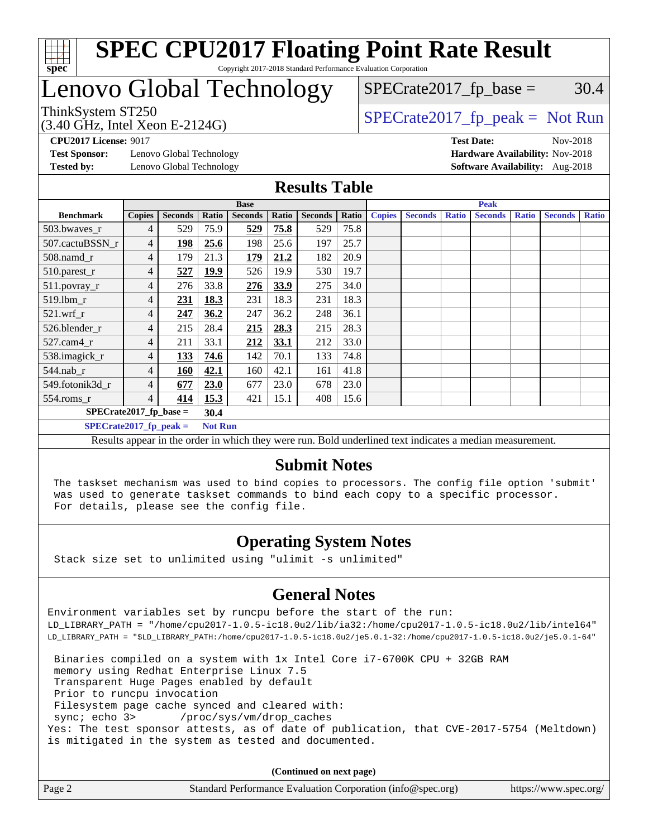

# Lenovo Global Technology

 $SPECTate2017<sub>fp</sub> base =  $30.4$$ 

### ThinkSystem ST250  $SPECTA = 2124G$   $SPECTA = 2017$  fp\_peak = Not Run

(3.40 GHz, Intel Xeon E-2124G)

**[Test Sponsor:](http://www.spec.org/auto/cpu2017/Docs/result-fields.html#TestSponsor)** Lenovo Global Technology **[Hardware Availability:](http://www.spec.org/auto/cpu2017/Docs/result-fields.html#HardwareAvailability)** Nov-2018 **[Tested by:](http://www.spec.org/auto/cpu2017/Docs/result-fields.html#Testedby)** Lenovo Global Technology **[Software Availability:](http://www.spec.org/auto/cpu2017/Docs/result-fields.html#SoftwareAvailability)** Aug-2018

**[CPU2017 License:](http://www.spec.org/auto/cpu2017/Docs/result-fields.html#CPU2017License)** 9017 **[Test Date:](http://www.spec.org/auto/cpu2017/Docs/result-fields.html#TestDate)** Nov-2018

#### **[Results Table](http://www.spec.org/auto/cpu2017/Docs/result-fields.html#ResultsTable)**

|                          | <b>Base</b>   |                |             |                |       | <b>Peak</b>    |       |               |                |              |                |              |                |              |
|--------------------------|---------------|----------------|-------------|----------------|-------|----------------|-------|---------------|----------------|--------------|----------------|--------------|----------------|--------------|
| <b>Benchmark</b>         | <b>Copies</b> | <b>Seconds</b> | Ratio       | <b>Seconds</b> | Ratio | <b>Seconds</b> | Ratio | <b>Copies</b> | <b>Seconds</b> | <b>Ratio</b> | <b>Seconds</b> | <b>Ratio</b> | <b>Seconds</b> | <b>Ratio</b> |
| 503.bwayes_r             | 4             | 529            | 75.9        | 529            | 75.8  | 529            | 75.8  |               |                |              |                |              |                |              |
| 507.cactuBSSN r          | 4             | 198            | 25.6        | 198            | 25.6  | 197            | 25.7  |               |                |              |                |              |                |              |
| $508$ .namd $r$          | 4             | 179            | 21.3        | 179            | 21.2  | 182            | 20.9  |               |                |              |                |              |                |              |
| 510.parest_r             | 4             | 527            | <u>19.9</u> | 526            | 19.9  | 530            | 19.7  |               |                |              |                |              |                |              |
| 511.povray_r             | 4             | 276            | 33.8        | 276            | 33.9  | 275            | 34.0  |               |                |              |                |              |                |              |
| 519.1bm r                | 4             | 231            | 18.3        | 231            | 18.3  | 231            | 18.3  |               |                |              |                |              |                |              |
| 521.wrf                  | 4             | 247            | 36.2        | 247            | 36.2  | 248            | 36.1  |               |                |              |                |              |                |              |
| 526.blender r            | 4             | 215            | 28.4        | 215            | 28.3  | 215            | 28.3  |               |                |              |                |              |                |              |
| $527$ .cam $4r$          | 4             | 211            | 33.1        | 212            | 33.1  | 212            | 33.0  |               |                |              |                |              |                |              |
| 538.imagick_r            | 4             | 133            | 74.6        | 142            | 70.1  | 133            | 74.8  |               |                |              |                |              |                |              |
| $544$ .nab r             | 4             | <b>160</b>     | 42.1        | 160            | 42.1  | 161            | 41.8  |               |                |              |                |              |                |              |
| 549.fotonik3d r          | 4             | 677            | 23.0        | 677            | 23.0  | 678            | 23.0  |               |                |              |                |              |                |              |
| $554$ .roms_r            | 4             | 414            | 15.3        | 421            | 15.1  | 408            | 15.6  |               |                |              |                |              |                |              |
| $SPECrate2017$ fp base = |               |                | 30.4        |                |       |                |       |               |                |              |                |              |                |              |
| $SPECrate2017_fp_peak =$ |               |                |             | <b>Not Run</b> |       |                |       |               |                |              |                |              |                |              |

Results appear in the [order in which they were run](http://www.spec.org/auto/cpu2017/Docs/result-fields.html#RunOrder). Bold underlined text [indicates a median measurement](http://www.spec.org/auto/cpu2017/Docs/result-fields.html#Median).

#### **[Submit Notes](http://www.spec.org/auto/cpu2017/Docs/result-fields.html#SubmitNotes)**

 The taskset mechanism was used to bind copies to processors. The config file option 'submit' was used to generate taskset commands to bind each copy to a specific processor. For details, please see the config file.

#### **[Operating System Notes](http://www.spec.org/auto/cpu2017/Docs/result-fields.html#OperatingSystemNotes)**

Stack size set to unlimited using "ulimit -s unlimited"

#### **[General Notes](http://www.spec.org/auto/cpu2017/Docs/result-fields.html#GeneralNotes)**

Environment variables set by runcpu before the start of the run: LD\_LIBRARY\_PATH = "/home/cpu2017-1.0.5-ic18.0u2/lib/ia32:/home/cpu2017-1.0.5-ic18.0u2/lib/intel64" LD\_LIBRARY\_PATH = "\$LD\_LIBRARY\_PATH:/home/cpu2017-1.0.5-ic18.0u2/je5.0.1-32:/home/cpu2017-1.0.5-ic18.0u2/je5.0.1-64"

 Binaries compiled on a system with 1x Intel Core i7-6700K CPU + 32GB RAM memory using Redhat Enterprise Linux 7.5 Transparent Huge Pages enabled by default Prior to runcpu invocation Filesystem page cache synced and cleared with: sync; echo 3> /proc/sys/vm/drop\_caches Yes: The test sponsor attests, as of date of publication, that CVE-2017-5754 (Meltdown) is mitigated in the system as tested and documented.

**(Continued on next page)**

| Page 2 | Standard Performance Evaluation Corporation (info@spec.org) | https://www.spec.org/ |
|--------|-------------------------------------------------------------|-----------------------|
|--------|-------------------------------------------------------------|-----------------------|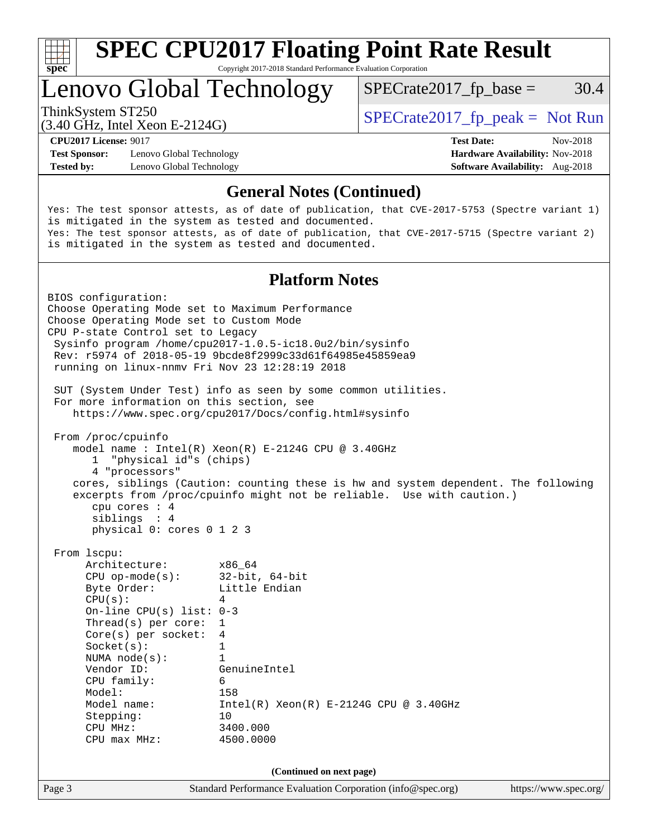

Lenovo Global Technology

 $SPECTate2017<sub>fp</sub> base =  $30.4$$ 

(3.40 GHz, Intel Xeon E-2124G)

ThinkSystem ST250  $SPECrate2017$  fp\_peak = Not Run

**[Test Sponsor:](http://www.spec.org/auto/cpu2017/Docs/result-fields.html#TestSponsor)** Lenovo Global Technology **[Hardware Availability:](http://www.spec.org/auto/cpu2017/Docs/result-fields.html#HardwareAvailability)** Nov-2018 **[Tested by:](http://www.spec.org/auto/cpu2017/Docs/result-fields.html#Testedby)** Lenovo Global Technology **[Software Availability:](http://www.spec.org/auto/cpu2017/Docs/result-fields.html#SoftwareAvailability)** Aug-2018

**[CPU2017 License:](http://www.spec.org/auto/cpu2017/Docs/result-fields.html#CPU2017License)** 9017 **[Test Date:](http://www.spec.org/auto/cpu2017/Docs/result-fields.html#TestDate)** Nov-2018

#### **[General Notes \(Continued\)](http://www.spec.org/auto/cpu2017/Docs/result-fields.html#GeneralNotes)**

Yes: The test sponsor attests, as of date of publication, that CVE-2017-5753 (Spectre variant 1) is mitigated in the system as tested and documented. Yes: The test sponsor attests, as of date of publication, that CVE-2017-5715 (Spectre variant 2) is mitigated in the system as tested and documented.

#### **[Platform Notes](http://www.spec.org/auto/cpu2017/Docs/result-fields.html#PlatformNotes)**

```
Page 3 Standard Performance Evaluation Corporation (info@spec.org) https://www.spec.org/
BIOS configuration:
Choose Operating Mode set to Maximum Performance
Choose Operating Mode set to Custom Mode
CPU P-state Control set to Legacy
  Sysinfo program /home/cpu2017-1.0.5-ic18.0u2/bin/sysinfo
  Rev: r5974 of 2018-05-19 9bcde8f2999c33d61f64985e45859ea9
  running on linux-nnmv Fri Nov 23 12:28:19 2018
  SUT (System Under Test) info as seen by some common utilities.
  For more information on this section, see
     https://www.spec.org/cpu2017/Docs/config.html#sysinfo
  From /proc/cpuinfo
     model name : Intel(R) Xeon(R) E-2124G CPU @ 3.40GHz
        1 "physical id"s (chips)
        4 "processors"
     cores, siblings (Caution: counting these is hw and system dependent. The following
     excerpts from /proc/cpuinfo might not be reliable. Use with caution.)
        cpu cores : 4
        siblings : 4
        physical 0: cores 0 1 2 3
  From lscpu:
      Architecture: x86_64
       CPU op-mode(s): 32-bit, 64-bit
      Byte Order: Little Endian
      CPU(s): 4
       On-line CPU(s) list: 0-3
       Thread(s) per core: 1
       Core(s) per socket: 4
      Socket(s): 1
       NUMA node(s): 1
       Vendor ID: GenuineIntel
      CPU family: 6<br>Model: 158
      Model:
       Model name: Intel(R) Xeon(R) E-2124G CPU @ 3.40GHz
      Stepping: 10
       CPU MHz: 3400.000
       CPU max MHz: 4500.0000
                                  (Continued on next page)
```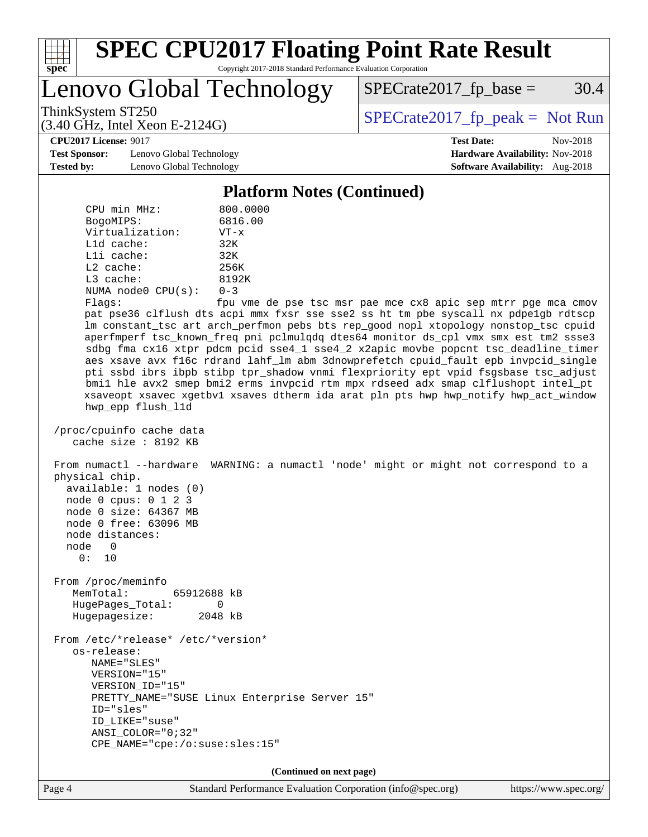

Lenovo Global Technology

 $SPECTate2017<sub>fp</sub> base =  $30.4$$ 

(3.40 GHz, Intel Xeon E-2124G)

ThinkSystem ST250  $SPECrate2017$  fp\_peak = Not Run

**[Test Sponsor:](http://www.spec.org/auto/cpu2017/Docs/result-fields.html#TestSponsor)** Lenovo Global Technology **[Hardware Availability:](http://www.spec.org/auto/cpu2017/Docs/result-fields.html#HardwareAvailability)** Nov-2018 **[Tested by:](http://www.spec.org/auto/cpu2017/Docs/result-fields.html#Testedby)** Lenovo Global Technology **[Software Availability:](http://www.spec.org/auto/cpu2017/Docs/result-fields.html#SoftwareAvailability)** Aug-2018

**[CPU2017 License:](http://www.spec.org/auto/cpu2017/Docs/result-fields.html#CPU2017License)** 9017 **[Test Date:](http://www.spec.org/auto/cpu2017/Docs/result-fields.html#TestDate)** Nov-2018

#### **[Platform Notes \(Continued\)](http://www.spec.org/auto/cpu2017/Docs/result-fields.html#PlatformNotes)**

| CPU min MHz:            | 800.0000                        |
|-------------------------|---------------------------------|
| BogoMIPS:               | 6816.00                         |
| Virtualization:         | $VT - x$                        |
| $L1d$ cache:            | 32K                             |
| $L1i$ cache:            | 32K                             |
| $L2$ cache:             | 256K                            |
| L3 cache:               | 8192K                           |
| NUMA $node0$ $CPU(s)$ : | $0 - 3$                         |
| $F1$ acc $\cdot$        | $f_{\text{D11}}$ $m_{\text{A}}$ |

 Flags: fpu vme de pse tsc msr pae mce cx8 apic sep mtrr pge mca cmov pat pse36 clflush dts acpi mmx fxsr sse sse2 ss ht tm pbe syscall nx pdpe1gb rdtscp lm constant\_tsc art arch\_perfmon pebs bts rep\_good nopl xtopology nonstop\_tsc cpuid aperfmperf tsc\_known\_freq pni pclmulqdq dtes64 monitor ds\_cpl vmx smx est tm2 ssse3 sdbg fma cx16 xtpr pdcm pcid sse4\_1 sse4\_2 x2apic movbe popcnt tsc\_deadline\_timer aes xsave avx f16c rdrand lahf\_lm abm 3dnowprefetch cpuid\_fault epb invpcid\_single pti ssbd ibrs ibpb stibp tpr\_shadow vnmi flexpriority ept vpid fsgsbase tsc\_adjust bmi1 hle avx2 smep bmi2 erms invpcid rtm mpx rdseed adx smap clflushopt intel\_pt xsaveopt xsavec xgetbv1 xsaves dtherm ida arat pln pts hwp hwp\_notify hwp\_act\_window hwp\_epp flush\_l1d

```
 /proc/cpuinfo cache data
    cache size : 8192 KB
```
 From numactl --hardware WARNING: a numactl 'node' might or might not correspond to a physical chip. available: 1 nodes (0)

 node 0 cpus: 0 1 2 3 node 0 size: 64367 MB node 0 free: 63096 MB

 node distances: node 0

0: 10

 From /proc/meminfo MemTotal: 65912688 kB HugePages\_Total: 0 Hugepagesize: 2048 kB

 From /etc/\*release\* /etc/\*version\* os-release: NAME="SLES" VERSION="15" VERSION\_ID="15" PRETTY\_NAME="SUSE Linux Enterprise Server 15" ID="sles" ID\_LIKE="suse" ANSI\_COLOR="0;32" CPE\_NAME="cpe:/o:suse:sles:15"

**(Continued on next page)**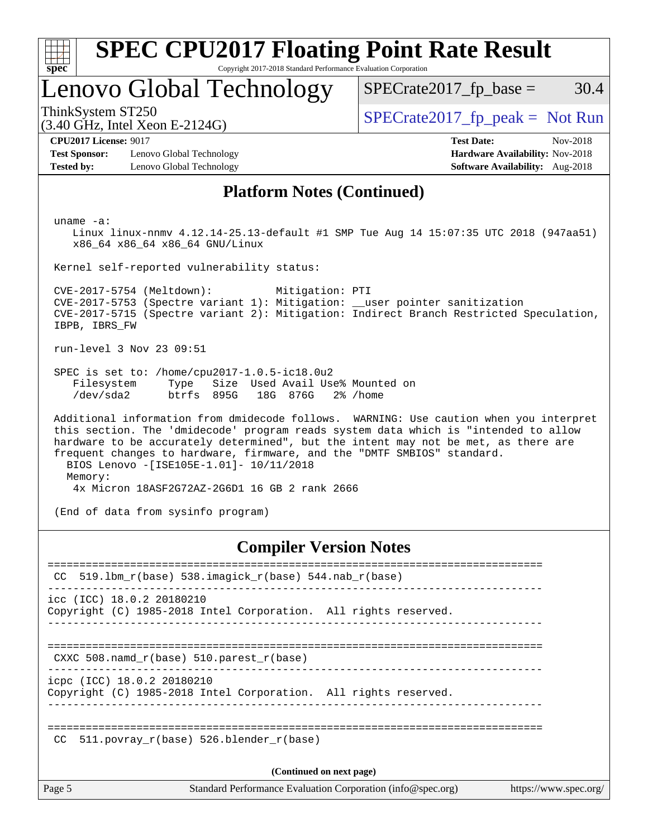| SI<br>ne |  |  |  |  |  |
|----------|--|--|--|--|--|

# **[SPEC CPU2017 Floating Point Rate Result](http://www.spec.org/auto/cpu2017/Docs/result-fields.html#SPECCPU2017FloatingPointRateResult)**

Copyright 2017-2018 Standard Performance Evaluation Corporation

# Lenovo Global Technology

ThinkSystem ST250  $SPECrate2017$  fp\_peak = Not Run

 $SPECTate2017<sub>fp</sub> base =  $30.4$$ 

### (3.40 GHz, Intel Xeon E-2124G)

**[Test Sponsor:](http://www.spec.org/auto/cpu2017/Docs/result-fields.html#TestSponsor)** Lenovo Global Technology **[Hardware Availability:](http://www.spec.org/auto/cpu2017/Docs/result-fields.html#HardwareAvailability)** Nov-2018 **[Tested by:](http://www.spec.org/auto/cpu2017/Docs/result-fields.html#Testedby)** Lenovo Global Technology **[Software Availability:](http://www.spec.org/auto/cpu2017/Docs/result-fields.html#SoftwareAvailability)** Aug-2018

**[CPU2017 License:](http://www.spec.org/auto/cpu2017/Docs/result-fields.html#CPU2017License)** 9017 **[Test Date:](http://www.spec.org/auto/cpu2017/Docs/result-fields.html#TestDate)** Nov-2018

#### **[Platform Notes \(Continued\)](http://www.spec.org/auto/cpu2017/Docs/result-fields.html#PlatformNotes)**

uname -a:

 Linux linux-nnmv 4.12.14-25.13-default #1 SMP Tue Aug 14 15:07:35 UTC 2018 (947aa51) x86\_64 x86\_64 x86\_64 GNU/Linux

Kernel self-reported vulnerability status:

 CVE-2017-5754 (Meltdown): Mitigation: PTI CVE-2017-5753 (Spectre variant 1): Mitigation: \_\_user pointer sanitization CVE-2017-5715 (Spectre variant 2): Mitigation: Indirect Branch Restricted Speculation, IBPB, IBRS\_FW

run-level 3 Nov 23 09:51

 SPEC is set to: /home/cpu2017-1.0.5-ic18.0u2 Filesystem Type Size Used Avail Use% Mounted on /dev/sda2 btrfs 895G 18G 876G 2% /home

 Additional information from dmidecode follows. WARNING: Use caution when you interpret this section. The 'dmidecode' program reads system data which is "intended to allow hardware to be accurately determined", but the intent may not be met, as there are frequent changes to hardware, firmware, and the "DMTF SMBIOS" standard. BIOS Lenovo -[ISE105E-1.01]- 10/11/2018 Memory: 4x Micron 18ASF2G72AZ-2G6D1 16 GB 2 rank 2666

(End of data from sysinfo program)

#### **[Compiler Version Notes](http://www.spec.org/auto/cpu2017/Docs/result-fields.html#CompilerVersionNotes)**

| CC     | $519.1$ bm_r(base) 538.imagick_r(base) 544.nab_r(base)                                        |  |
|--------|-----------------------------------------------------------------------------------------------|--|
|        |                                                                                               |  |
|        | icc (ICC) 18.0.2 20180210<br>Copyright (C) 1985-2018 Intel Corporation. All rights reserved.  |  |
|        | CXXC 508. namd $r(base)$ 510. parest $r(base)$                                                |  |
|        | icpc (ICC) 18.0.2 20180210<br>Copyright (C) 1985-2018 Intel Corporation. All rights reserved. |  |
| CC     | 511.povray $r(base)$ 526.blender $r(base)$                                                    |  |
|        | (Continued on next page)                                                                      |  |
| Page 5 | Standard Performance Evaluation Corporation (info@spec.org)<br>https://www.spec.org/          |  |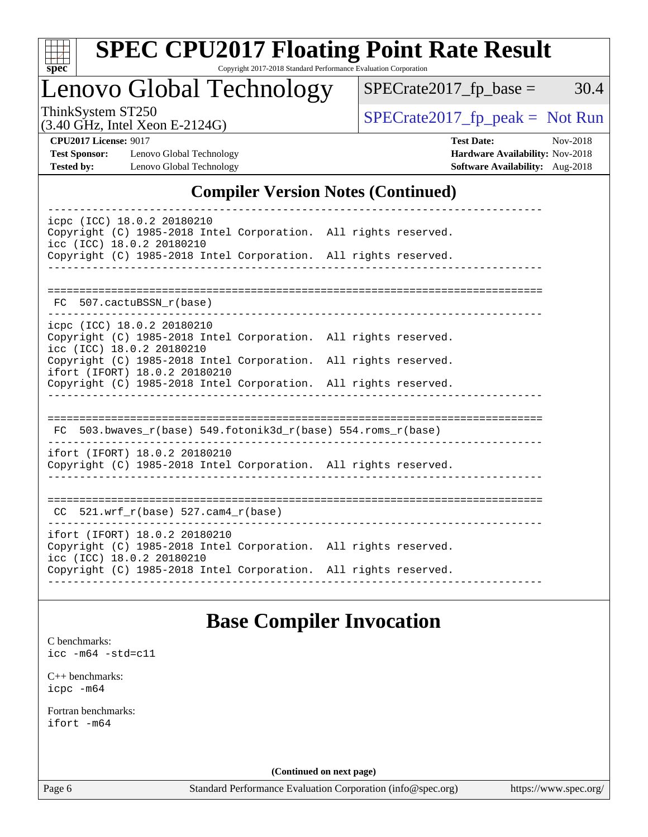

# **[SPEC CPU2017 Floating Point Rate Result](http://www.spec.org/auto/cpu2017/Docs/result-fields.html#SPECCPU2017FloatingPointRateResult)**

Copyright 2017-2018 Standard Performance Evaluation Corporation

# Lenovo Global Technology

(3.40 GHz, Intel Xeon E-2124G)

 $SPECrate2017_fp\_peak = Not Run$ 

 $SPECTate2017_fp\_base = 30.4$ 

**[Test Sponsor:](http://www.spec.org/auto/cpu2017/Docs/result-fields.html#TestSponsor)** Lenovo Global Technology **[Hardware Availability:](http://www.spec.org/auto/cpu2017/Docs/result-fields.html#HardwareAvailability)** Nov-2018 **[Tested by:](http://www.spec.org/auto/cpu2017/Docs/result-fields.html#Testedby)** Lenovo Global Technology **[Software Availability:](http://www.spec.org/auto/cpu2017/Docs/result-fields.html#SoftwareAvailability)** Aug-2018

**[CPU2017 License:](http://www.spec.org/auto/cpu2017/Docs/result-fields.html#CPU2017License)** 9017 **[Test Date:](http://www.spec.org/auto/cpu2017/Docs/result-fields.html#TestDate)** Nov-2018

### **[Compiler Version Notes \(Continued\)](http://www.spec.org/auto/cpu2017/Docs/result-fields.html#CompilerVersionNotes)**

| icpc (ICC) 18.0.2 20180210<br>Copyright (C) 1985-2018 Intel Corporation. All rights reserved.<br>icc (ICC) 18.0.2 20180210 |                                  |                            |
|----------------------------------------------------------------------------------------------------------------------------|----------------------------------|----------------------------|
| Copyright (C) 1985-2018 Intel Corporation. All rights reserved.                                                            |                                  |                            |
|                                                                                                                            |                                  |                            |
|                                                                                                                            |                                  |                            |
| FC 507.cactuBSSN r(base)                                                                                                   |                                  |                            |
| icpc (ICC) 18.0.2 20180210                                                                                                 |                                  |                            |
| Copyright (C) 1985-2018 Intel Corporation. All rights reserved.<br>icc (ICC) 18.0.2 20180210                               |                                  |                            |
| Copyright (C) 1985-2018 Intel Corporation. All rights reserved.<br>ifort (IFORT) 18.0.2 20180210                           |                                  |                            |
| Copyright (C) 1985-2018 Intel Corporation. All rights reserved.                                                            |                                  |                            |
|                                                                                                                            |                                  |                            |
|                                                                                                                            |                                  | ========================== |
| FC $503.bwaves_r(base) 549.fotonik3d_r(base) 554.roms_r(base)$                                                             |                                  |                            |
| ifort (IFORT) 18.0.2 20180210                                                                                              |                                  |                            |
| Copyright (C) 1985-2018 Intel Corporation. All rights reserved.                                                            |                                  |                            |
|                                                                                                                            |                                  |                            |
|                                                                                                                            | -------------------------------- |                            |
| $CC$ 521.wrf_ $r$ (base) 527.cam4_ $r$ (base)                                                                              |                                  |                            |
| ifort (IFORT) 18.0.2 20180210                                                                                              |                                  |                            |
| Copyright (C) 1985-2018 Intel Corporation. All rights reserved.<br>icc (ICC) 18.0.2 20180210                               |                                  |                            |
| Copyright (C) 1985-2018 Intel Corporation. All rights reserved.                                                            | -----------------                |                            |
|                                                                                                                            |                                  |                            |

### **[Base Compiler Invocation](http://www.spec.org/auto/cpu2017/Docs/result-fields.html#BaseCompilerInvocation)**

[C benchmarks](http://www.spec.org/auto/cpu2017/Docs/result-fields.html#Cbenchmarks): [icc -m64 -std=c11](http://www.spec.org/cpu2017/results/res2018q4/cpu2017-20181126-09898.flags.html#user_CCbase_intel_icc_64bit_c11_33ee0cdaae7deeeab2a9725423ba97205ce30f63b9926c2519791662299b76a0318f32ddfffdc46587804de3178b4f9328c46fa7c2b0cd779d7a61945c91cd35)

[C++ benchmarks:](http://www.spec.org/auto/cpu2017/Docs/result-fields.html#CXXbenchmarks) [icpc -m64](http://www.spec.org/cpu2017/results/res2018q4/cpu2017-20181126-09898.flags.html#user_CXXbase_intel_icpc_64bit_4ecb2543ae3f1412ef961e0650ca070fec7b7afdcd6ed48761b84423119d1bf6bdf5cad15b44d48e7256388bc77273b966e5eb805aefd121eb22e9299b2ec9d9)

[Fortran benchmarks](http://www.spec.org/auto/cpu2017/Docs/result-fields.html#Fortranbenchmarks): [ifort -m64](http://www.spec.org/cpu2017/results/res2018q4/cpu2017-20181126-09898.flags.html#user_FCbase_intel_ifort_64bit_24f2bb282fbaeffd6157abe4f878425411749daecae9a33200eee2bee2fe76f3b89351d69a8130dd5949958ce389cf37ff59a95e7a40d588e8d3a57e0c3fd751)

**(Continued on next page)**

Page 6 Standard Performance Evaluation Corporation [\(info@spec.org\)](mailto:info@spec.org) <https://www.spec.org/>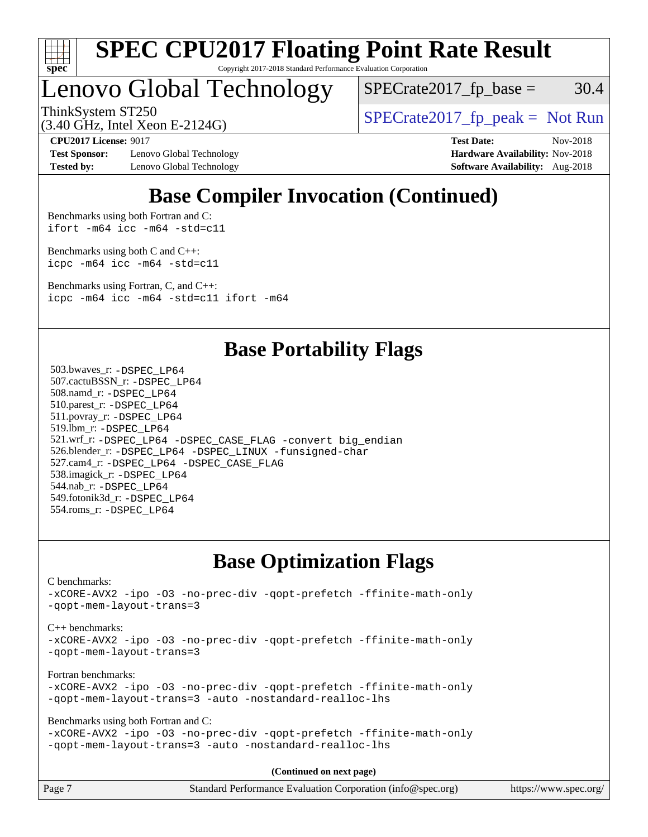

# Lenovo Global Technology

 $SPECTate2017<sub>fp</sub> base = 30.4$ 

(3.40 GHz, Intel Xeon E-2124G)

ThinkSystem ST250  $SPECrate2017$  fp\_peak = Not Run

**[Test Sponsor:](http://www.spec.org/auto/cpu2017/Docs/result-fields.html#TestSponsor)** Lenovo Global Technology **[Hardware Availability:](http://www.spec.org/auto/cpu2017/Docs/result-fields.html#HardwareAvailability)** Nov-2018 **[Tested by:](http://www.spec.org/auto/cpu2017/Docs/result-fields.html#Testedby)** Lenovo Global Technology **[Software Availability:](http://www.spec.org/auto/cpu2017/Docs/result-fields.html#SoftwareAvailability)** Aug-2018

**[CPU2017 License:](http://www.spec.org/auto/cpu2017/Docs/result-fields.html#CPU2017License)** 9017 **[Test Date:](http://www.spec.org/auto/cpu2017/Docs/result-fields.html#TestDate)** Nov-2018

## **[Base Compiler Invocation \(Continued\)](http://www.spec.org/auto/cpu2017/Docs/result-fields.html#BaseCompilerInvocation)**

[Benchmarks using both Fortran and C](http://www.spec.org/auto/cpu2017/Docs/result-fields.html#BenchmarksusingbothFortranandC): [ifort -m64](http://www.spec.org/cpu2017/results/res2018q4/cpu2017-20181126-09898.flags.html#user_CC_FCbase_intel_ifort_64bit_24f2bb282fbaeffd6157abe4f878425411749daecae9a33200eee2bee2fe76f3b89351d69a8130dd5949958ce389cf37ff59a95e7a40d588e8d3a57e0c3fd751) [icc -m64 -std=c11](http://www.spec.org/cpu2017/results/res2018q4/cpu2017-20181126-09898.flags.html#user_CC_FCbase_intel_icc_64bit_c11_33ee0cdaae7deeeab2a9725423ba97205ce30f63b9926c2519791662299b76a0318f32ddfffdc46587804de3178b4f9328c46fa7c2b0cd779d7a61945c91cd35)

[Benchmarks using both C and C++](http://www.spec.org/auto/cpu2017/Docs/result-fields.html#BenchmarksusingbothCandCXX): [icpc -m64](http://www.spec.org/cpu2017/results/res2018q4/cpu2017-20181126-09898.flags.html#user_CC_CXXbase_intel_icpc_64bit_4ecb2543ae3f1412ef961e0650ca070fec7b7afdcd6ed48761b84423119d1bf6bdf5cad15b44d48e7256388bc77273b966e5eb805aefd121eb22e9299b2ec9d9) [icc -m64 -std=c11](http://www.spec.org/cpu2017/results/res2018q4/cpu2017-20181126-09898.flags.html#user_CC_CXXbase_intel_icc_64bit_c11_33ee0cdaae7deeeab2a9725423ba97205ce30f63b9926c2519791662299b76a0318f32ddfffdc46587804de3178b4f9328c46fa7c2b0cd779d7a61945c91cd35)

[Benchmarks using Fortran, C, and C++:](http://www.spec.org/auto/cpu2017/Docs/result-fields.html#BenchmarksusingFortranCandCXX) [icpc -m64](http://www.spec.org/cpu2017/results/res2018q4/cpu2017-20181126-09898.flags.html#user_CC_CXX_FCbase_intel_icpc_64bit_4ecb2543ae3f1412ef961e0650ca070fec7b7afdcd6ed48761b84423119d1bf6bdf5cad15b44d48e7256388bc77273b966e5eb805aefd121eb22e9299b2ec9d9) [icc -m64 -std=c11](http://www.spec.org/cpu2017/results/res2018q4/cpu2017-20181126-09898.flags.html#user_CC_CXX_FCbase_intel_icc_64bit_c11_33ee0cdaae7deeeab2a9725423ba97205ce30f63b9926c2519791662299b76a0318f32ddfffdc46587804de3178b4f9328c46fa7c2b0cd779d7a61945c91cd35) [ifort -m64](http://www.spec.org/cpu2017/results/res2018q4/cpu2017-20181126-09898.flags.html#user_CC_CXX_FCbase_intel_ifort_64bit_24f2bb282fbaeffd6157abe4f878425411749daecae9a33200eee2bee2fe76f3b89351d69a8130dd5949958ce389cf37ff59a95e7a40d588e8d3a57e0c3fd751)

### **[Base Portability Flags](http://www.spec.org/auto/cpu2017/Docs/result-fields.html#BasePortabilityFlags)**

 503.bwaves\_r: [-DSPEC\\_LP64](http://www.spec.org/cpu2017/results/res2018q4/cpu2017-20181126-09898.flags.html#suite_basePORTABILITY503_bwaves_r_DSPEC_LP64) 507.cactuBSSN\_r: [-DSPEC\\_LP64](http://www.spec.org/cpu2017/results/res2018q4/cpu2017-20181126-09898.flags.html#suite_basePORTABILITY507_cactuBSSN_r_DSPEC_LP64) 508.namd\_r: [-DSPEC\\_LP64](http://www.spec.org/cpu2017/results/res2018q4/cpu2017-20181126-09898.flags.html#suite_basePORTABILITY508_namd_r_DSPEC_LP64) 510.parest\_r: [-DSPEC\\_LP64](http://www.spec.org/cpu2017/results/res2018q4/cpu2017-20181126-09898.flags.html#suite_basePORTABILITY510_parest_r_DSPEC_LP64) 511.povray\_r: [-DSPEC\\_LP64](http://www.spec.org/cpu2017/results/res2018q4/cpu2017-20181126-09898.flags.html#suite_basePORTABILITY511_povray_r_DSPEC_LP64) 519.lbm\_r: [-DSPEC\\_LP64](http://www.spec.org/cpu2017/results/res2018q4/cpu2017-20181126-09898.flags.html#suite_basePORTABILITY519_lbm_r_DSPEC_LP64) 521.wrf\_r: [-DSPEC\\_LP64](http://www.spec.org/cpu2017/results/res2018q4/cpu2017-20181126-09898.flags.html#suite_basePORTABILITY521_wrf_r_DSPEC_LP64) [-DSPEC\\_CASE\\_FLAG](http://www.spec.org/cpu2017/results/res2018q4/cpu2017-20181126-09898.flags.html#b521.wrf_r_baseCPORTABILITY_DSPEC_CASE_FLAG) [-convert big\\_endian](http://www.spec.org/cpu2017/results/res2018q4/cpu2017-20181126-09898.flags.html#user_baseFPORTABILITY521_wrf_r_convert_big_endian_c3194028bc08c63ac5d04de18c48ce6d347e4e562e8892b8bdbdc0214820426deb8554edfa529a3fb25a586e65a3d812c835984020483e7e73212c4d31a38223) 526.blender\_r: [-DSPEC\\_LP64](http://www.spec.org/cpu2017/results/res2018q4/cpu2017-20181126-09898.flags.html#suite_basePORTABILITY526_blender_r_DSPEC_LP64) [-DSPEC\\_LINUX](http://www.spec.org/cpu2017/results/res2018q4/cpu2017-20181126-09898.flags.html#b526.blender_r_baseCPORTABILITY_DSPEC_LINUX) [-funsigned-char](http://www.spec.org/cpu2017/results/res2018q4/cpu2017-20181126-09898.flags.html#user_baseCPORTABILITY526_blender_r_force_uchar_40c60f00ab013830e2dd6774aeded3ff59883ba5a1fc5fc14077f794d777847726e2a5858cbc7672e36e1b067e7e5c1d9a74f7176df07886a243d7cc18edfe67) 527.cam4\_r: [-DSPEC\\_LP64](http://www.spec.org/cpu2017/results/res2018q4/cpu2017-20181126-09898.flags.html#suite_basePORTABILITY527_cam4_r_DSPEC_LP64) [-DSPEC\\_CASE\\_FLAG](http://www.spec.org/cpu2017/results/res2018q4/cpu2017-20181126-09898.flags.html#b527.cam4_r_baseCPORTABILITY_DSPEC_CASE_FLAG) 538.imagick\_r: [-DSPEC\\_LP64](http://www.spec.org/cpu2017/results/res2018q4/cpu2017-20181126-09898.flags.html#suite_basePORTABILITY538_imagick_r_DSPEC_LP64) 544.nab\_r: [-DSPEC\\_LP64](http://www.spec.org/cpu2017/results/res2018q4/cpu2017-20181126-09898.flags.html#suite_basePORTABILITY544_nab_r_DSPEC_LP64) 549.fotonik3d\_r: [-DSPEC\\_LP64](http://www.spec.org/cpu2017/results/res2018q4/cpu2017-20181126-09898.flags.html#suite_basePORTABILITY549_fotonik3d_r_DSPEC_LP64) 554.roms\_r: [-DSPEC\\_LP64](http://www.spec.org/cpu2017/results/res2018q4/cpu2017-20181126-09898.flags.html#suite_basePORTABILITY554_roms_r_DSPEC_LP64)

### **[Base Optimization Flags](http://www.spec.org/auto/cpu2017/Docs/result-fields.html#BaseOptimizationFlags)**

[C benchmarks](http://www.spec.org/auto/cpu2017/Docs/result-fields.html#Cbenchmarks): [-xCORE-AVX2](http://www.spec.org/cpu2017/results/res2018q4/cpu2017-20181126-09898.flags.html#user_CCbase_f-xCORE-AVX2) [-ipo](http://www.spec.org/cpu2017/results/res2018q4/cpu2017-20181126-09898.flags.html#user_CCbase_f-ipo) [-O3](http://www.spec.org/cpu2017/results/res2018q4/cpu2017-20181126-09898.flags.html#user_CCbase_f-O3) [-no-prec-div](http://www.spec.org/cpu2017/results/res2018q4/cpu2017-20181126-09898.flags.html#user_CCbase_f-no-prec-div) [-qopt-prefetch](http://www.spec.org/cpu2017/results/res2018q4/cpu2017-20181126-09898.flags.html#user_CCbase_f-qopt-prefetch) [-ffinite-math-only](http://www.spec.org/cpu2017/results/res2018q4/cpu2017-20181126-09898.flags.html#user_CCbase_f_finite_math_only_cb91587bd2077682c4b38af759c288ed7c732db004271a9512da14a4f8007909a5f1427ecbf1a0fb78ff2a814402c6114ac565ca162485bbcae155b5e4258871) [-qopt-mem-layout-trans=3](http://www.spec.org/cpu2017/results/res2018q4/cpu2017-20181126-09898.flags.html#user_CCbase_f-qopt-mem-layout-trans_de80db37974c74b1f0e20d883f0b675c88c3b01e9d123adea9b28688d64333345fb62bc4a798493513fdb68f60282f9a726aa07f478b2f7113531aecce732043) [C++ benchmarks:](http://www.spec.org/auto/cpu2017/Docs/result-fields.html#CXXbenchmarks) [-xCORE-AVX2](http://www.spec.org/cpu2017/results/res2018q4/cpu2017-20181126-09898.flags.html#user_CXXbase_f-xCORE-AVX2) [-ipo](http://www.spec.org/cpu2017/results/res2018q4/cpu2017-20181126-09898.flags.html#user_CXXbase_f-ipo) [-O3](http://www.spec.org/cpu2017/results/res2018q4/cpu2017-20181126-09898.flags.html#user_CXXbase_f-O3) [-no-prec-div](http://www.spec.org/cpu2017/results/res2018q4/cpu2017-20181126-09898.flags.html#user_CXXbase_f-no-prec-div) [-qopt-prefetch](http://www.spec.org/cpu2017/results/res2018q4/cpu2017-20181126-09898.flags.html#user_CXXbase_f-qopt-prefetch) [-ffinite-math-only](http://www.spec.org/cpu2017/results/res2018q4/cpu2017-20181126-09898.flags.html#user_CXXbase_f_finite_math_only_cb91587bd2077682c4b38af759c288ed7c732db004271a9512da14a4f8007909a5f1427ecbf1a0fb78ff2a814402c6114ac565ca162485bbcae155b5e4258871) [-qopt-mem-layout-trans=3](http://www.spec.org/cpu2017/results/res2018q4/cpu2017-20181126-09898.flags.html#user_CXXbase_f-qopt-mem-layout-trans_de80db37974c74b1f0e20d883f0b675c88c3b01e9d123adea9b28688d64333345fb62bc4a798493513fdb68f60282f9a726aa07f478b2f7113531aecce732043) [Fortran benchmarks](http://www.spec.org/auto/cpu2017/Docs/result-fields.html#Fortranbenchmarks): [-xCORE-AVX2](http://www.spec.org/cpu2017/results/res2018q4/cpu2017-20181126-09898.flags.html#user_FCbase_f-xCORE-AVX2) [-ipo](http://www.spec.org/cpu2017/results/res2018q4/cpu2017-20181126-09898.flags.html#user_FCbase_f-ipo) [-O3](http://www.spec.org/cpu2017/results/res2018q4/cpu2017-20181126-09898.flags.html#user_FCbase_f-O3) [-no-prec-div](http://www.spec.org/cpu2017/results/res2018q4/cpu2017-20181126-09898.flags.html#user_FCbase_f-no-prec-div) [-qopt-prefetch](http://www.spec.org/cpu2017/results/res2018q4/cpu2017-20181126-09898.flags.html#user_FCbase_f-qopt-prefetch) [-ffinite-math-only](http://www.spec.org/cpu2017/results/res2018q4/cpu2017-20181126-09898.flags.html#user_FCbase_f_finite_math_only_cb91587bd2077682c4b38af759c288ed7c732db004271a9512da14a4f8007909a5f1427ecbf1a0fb78ff2a814402c6114ac565ca162485bbcae155b5e4258871) [-qopt-mem-layout-trans=3](http://www.spec.org/cpu2017/results/res2018q4/cpu2017-20181126-09898.flags.html#user_FCbase_f-qopt-mem-layout-trans_de80db37974c74b1f0e20d883f0b675c88c3b01e9d123adea9b28688d64333345fb62bc4a798493513fdb68f60282f9a726aa07f478b2f7113531aecce732043) [-auto](http://www.spec.org/cpu2017/results/res2018q4/cpu2017-20181126-09898.flags.html#user_FCbase_f-auto) [-nostandard-realloc-lhs](http://www.spec.org/cpu2017/results/res2018q4/cpu2017-20181126-09898.flags.html#user_FCbase_f_2003_std_realloc_82b4557e90729c0f113870c07e44d33d6f5a304b4f63d4c15d2d0f1fab99f5daaed73bdb9275d9ae411527f28b936061aa8b9c8f2d63842963b95c9dd6426b8a) [Benchmarks using both Fortran and C](http://www.spec.org/auto/cpu2017/Docs/result-fields.html#BenchmarksusingbothFortranandC): [-xCORE-AVX2](http://www.spec.org/cpu2017/results/res2018q4/cpu2017-20181126-09898.flags.html#user_CC_FCbase_f-xCORE-AVX2) [-ipo](http://www.spec.org/cpu2017/results/res2018q4/cpu2017-20181126-09898.flags.html#user_CC_FCbase_f-ipo) [-O3](http://www.spec.org/cpu2017/results/res2018q4/cpu2017-20181126-09898.flags.html#user_CC_FCbase_f-O3) [-no-prec-div](http://www.spec.org/cpu2017/results/res2018q4/cpu2017-20181126-09898.flags.html#user_CC_FCbase_f-no-prec-div) [-qopt-prefetch](http://www.spec.org/cpu2017/results/res2018q4/cpu2017-20181126-09898.flags.html#user_CC_FCbase_f-qopt-prefetch) [-ffinite-math-only](http://www.spec.org/cpu2017/results/res2018q4/cpu2017-20181126-09898.flags.html#user_CC_FCbase_f_finite_math_only_cb91587bd2077682c4b38af759c288ed7c732db004271a9512da14a4f8007909a5f1427ecbf1a0fb78ff2a814402c6114ac565ca162485bbcae155b5e4258871) [-qopt-mem-layout-trans=3](http://www.spec.org/cpu2017/results/res2018q4/cpu2017-20181126-09898.flags.html#user_CC_FCbase_f-qopt-mem-layout-trans_de80db37974c74b1f0e20d883f0b675c88c3b01e9d123adea9b28688d64333345fb62bc4a798493513fdb68f60282f9a726aa07f478b2f7113531aecce732043) [-auto](http://www.spec.org/cpu2017/results/res2018q4/cpu2017-20181126-09898.flags.html#user_CC_FCbase_f-auto) [-nostandard-realloc-lhs](http://www.spec.org/cpu2017/results/res2018q4/cpu2017-20181126-09898.flags.html#user_CC_FCbase_f_2003_std_realloc_82b4557e90729c0f113870c07e44d33d6f5a304b4f63d4c15d2d0f1fab99f5daaed73bdb9275d9ae411527f28b936061aa8b9c8f2d63842963b95c9dd6426b8a)

**(Continued on next page)**

| Page 7 | Standard Performance Evaluation Corporation (info@spec.org) | https://www.spec.org/ |
|--------|-------------------------------------------------------------|-----------------------|
|--------|-------------------------------------------------------------|-----------------------|